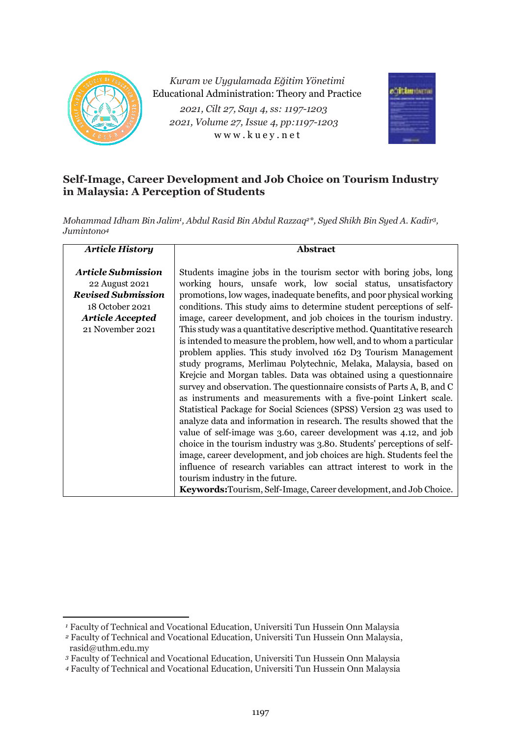

*Kuram ve Uygulamada Eğitim Yönetimi* Educational Administration: Theory and Practice *2021, Cilt 27, Sayı 4, ss: 1197-1203 2021, Volume 27, Issue 4, pp:1197-1203* w w w . k u e y . n e t



# **Self-Image, Career Development and Job Choice on Tourism Industry in Malaysia: A Perception of Students**

*Mohammad Idham Bin Jalim<sup>1</sup> , Abdul Rasid Bin Abdul Razzaq2\*, Syed Shikh Bin Syed A. Kadir3, Jumintono<sup>4</sup>*

| <b>Article History</b>                                                                                                                     | <b>Abstract</b>                                                                                                                                                                                                                                                                                                                                                                                                                                                                                                                                                                                                                                                                                                                                                                                                                                                                                                                                                                                                                                                                                                                                                                                                                                                                                                                                                                                                                           |  |  |
|--------------------------------------------------------------------------------------------------------------------------------------------|-------------------------------------------------------------------------------------------------------------------------------------------------------------------------------------------------------------------------------------------------------------------------------------------------------------------------------------------------------------------------------------------------------------------------------------------------------------------------------------------------------------------------------------------------------------------------------------------------------------------------------------------------------------------------------------------------------------------------------------------------------------------------------------------------------------------------------------------------------------------------------------------------------------------------------------------------------------------------------------------------------------------------------------------------------------------------------------------------------------------------------------------------------------------------------------------------------------------------------------------------------------------------------------------------------------------------------------------------------------------------------------------------------------------------------------------|--|--|
| <b>Article Submission</b><br>22 August 2021<br><b>Revised Submission</b><br>18 October 2021<br><b>Article Accepted</b><br>21 November 2021 | Students imagine jobs in the tourism sector with boring jobs, long<br>working hours, unsafe work, low social status, unsatisfactory<br>promotions, low wages, inadequate benefits, and poor physical working<br>conditions. This study aims to determine student perceptions of self-<br>image, career development, and job choices in the tourism industry.<br>This study was a quantitative descriptive method. Quantitative research<br>is intended to measure the problem, how well, and to whom a particular<br>problem applies. This study involved 162 D3 Tourism Management<br>study programs, Merlimau Polytechnic, Melaka, Malaysia, based on<br>Krejcie and Morgan tables. Data was obtained using a questionnaire<br>survey and observation. The questionnaire consists of Parts A, B, and C<br>as instruments and measurements with a five-point Linkert scale.<br>Statistical Package for Social Sciences (SPSS) Version 23 was used to<br>analyze data and information in research. The results showed that the<br>value of self-image was 3.60, career development was 4.12, and job<br>choice in the tourism industry was 3.80. Students' perceptions of self-<br>image, career development, and job choices are high. Students feel the<br>influence of research variables can attract interest to work in the<br>tourism industry in the future.<br>Keywords: Tourism, Self-Image, Career development, and Job Choice. |  |  |

*<sup>1</sup>* Faculty of Technical and Vocational Education, Universiti Tun Hussein Onn Malaysia

*<sup>2</sup>* Faculty of Technical and Vocational Education, Universiti Tun Hussein Onn Malaysia, rasid@uthm.edu.my

*<sup>3</sup>* Faculty of Technical and Vocational Education, Universiti Tun Hussein Onn Malaysia

*<sup>4</sup>* Faculty of Technical and Vocational Education, Universiti Tun Hussein Onn Malaysia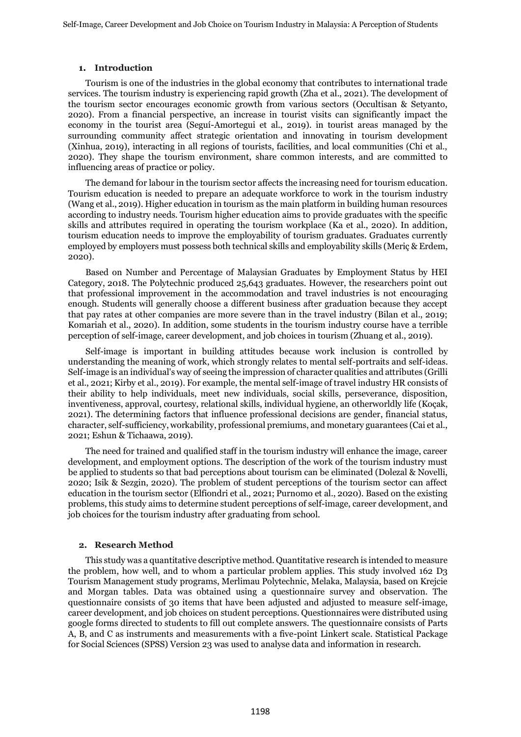## **1. Introduction**

Tourism is one of the industries in the global economy that contributes to international trade services. The tourism industry is experiencing rapid growth (Zha et al., 2021). The development of the tourism sector encourages economic growth from various sectors (Occultisan & Setyanto, 2020). From a financial perspective, an increase in tourist visits can significantly impact the economy in the tourist area (Seguí-Amortegui et al., 2019). in tourist areas managed by the surrounding community affect strategic orientation and innovating in tourism development (Xinhua, 2019), interacting in all regions of tourists, facilities, and local communities (Chi et al., 2020). They shape the tourism environment, share common interests, and are committed to influencing areas of practice or policy.

The demand for labour in the tourism sector affects the increasing need for tourism education. Tourism education is needed to prepare an adequate workforce to work in the tourism industry (Wang et al., 2019). Higher education in tourism as the main platform in building human resources according to industry needs. Tourism higher education aims to provide graduates with the specific skills and attributes required in operating the tourism workplace (Ka et al., 2020). In addition, tourism education needs to improve the employability of tourism graduates. Graduates currently employed by employers must possess both technical skills and employability skills (Meriç & Erdem, 2020).

Based on Number and Percentage of Malaysian Graduates by Employment Status by HEI Category, 2018. The Polytechnic produced 25,643 graduates. However, the researchers point out that professional improvement in the accommodation and travel industries is not encouraging enough. Students will generally choose a different business after graduation because they accept that pay rates at other companies are more severe than in the travel industry (Bilan et al., 2019; Komariah et al., 2020). In addition, some students in the tourism industry course have a terrible perception of self-image, career development, and job choices in tourism (Zhuang et al., 2019).

Self-image is important in building attitudes because work inclusion is controlled by understanding the meaning of work, which strongly relates to mental self-portraits and self-ideas. Self-image is an individual's way of seeing the impression of character qualities and attributes (Grilli et al., 2021; Kirby et al., 2019). For example, the mental self-image of travel industry HR consists of their ability to help individuals, meet new individuals, social skills, perseverance, disposition, inventiveness, approval, courtesy, relational skills, individual hygiene, an otherworldly life (Koçak, 2021). The determining factors that influence professional decisions are gender, financial status, character, self-sufficiency, workability, professional premiums, and monetary guarantees (Cai et al., 2021; Eshun & Tichaawa, 2019).

The need for trained and qualified staff in the tourism industry will enhance the image, career development, and employment options. The description of the work of the tourism industry must be applied to students so that bad perceptions about tourism can be eliminated (Dolezal & Novelli, 2020; Isik & Sezgin, 2020). The problem of student perceptions of the tourism sector can affect education in the tourism sector (Elfiondri et al., 2021; Purnomo et al., 2020). Based on the existing problems, this study aims to determine student perceptions of self-image, career development, and job choices for the tourism industry after graduating from school.

# **2. Research Method**

This study was a quantitative descriptive method. Quantitative research is intended to measure the problem, how well, and to whom a particular problem applies. This study involved 162 D3 Tourism Management study programs, Merlimau Polytechnic, Melaka, Malaysia, based on Krejcie and Morgan tables. Data was obtained using a questionnaire survey and observation. The questionnaire consists of 30 items that have been adjusted and adjusted to measure self-image, career development, and job choices on student perceptions. Questionnaires were distributed using google forms directed to students to fill out complete answers. The questionnaire consists of Parts A, B, and C as instruments and measurements with a five-point Linkert scale. Statistical Package for Social Sciences (SPSS) Version 23 was used to analyse data and information in research.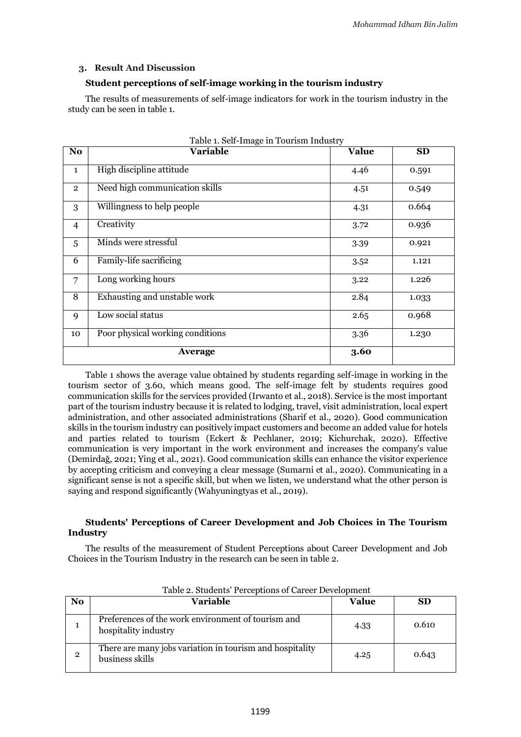## **3. Result And Discussion**

# **Student perceptions of self-image working in the tourism industry**

The results of measurements of self-image indicators for work in the tourism industry in the study can be seen in table 1.

| No.            | $\frac{1}{2}$<br><b>Variable</b> | <b>Value</b> | <b>SD</b> |
|----------------|----------------------------------|--------------|-----------|
| $\mathbf{1}$   | High discipline attitude         | 4.46         | 0.591     |
| $\overline{2}$ | Need high communication skills   | 4.51         | 0.549     |
| 3              | Willingness to help people       | 4.31         | 0.664     |
| 4              | Creativity                       | 3.72         | 0.936     |
| 5              | Minds were stressful             | 3.39         | 0.921     |
| 6              | Family-life sacrificing          | 3.52         | 1.121     |
| 7              | Long working hours               | 3.22         | 1.226     |
| 8              | Exhausting and unstable work     | 2.84         | 1.033     |
| 9              | Low social status                | 2.65         | 0.968     |
| 10             | Poor physical working conditions | 3.36         | 1.230     |
|                | Average                          | 3.60         |           |

Table 1. Self-Image in Tourism Industry

Table 1 shows the average value obtained by students regarding self-image in working in the tourism sector of 3.60, which means good. The self-image felt by students requires good communication skills for the services provided (Irwanto et al., 2018). Service is the most important part of the tourism industry because it is related to lodging, travel, visit administration, local expert administration, and other associated administrations (Sharif et al., 2020). Good communication skills in the tourism industry can positively impact customers and become an added value for hotels and parties related to tourism (Eckert & Pechlaner, 2019; Kichurchak, 2020). Effective communication is very important in the work environment and increases the company's value (Demirdağ, 2021; Ying et al., 2021). Good communication skills can enhance the visitor experience by accepting criticism and conveying a clear message (Sumarni et al., 2020). Communicating in a significant sense is not a specific skill, but when we listen, we understand what the other person is saying and respond significantly (Wahyuningtyas et al., 2019).

## **Students' Perceptions of Career Development and Job Choices in The Tourism Industry**

The results of the measurement of Student Perceptions about Career Development and Job Choices in the Tourism Industry in the research can be seen in table 2.

| <b>No</b>      | Variable                                                                    | Value | <b>SD</b> |
|----------------|-----------------------------------------------------------------------------|-------|-----------|
|                | Preferences of the work environment of tourism and<br>hospitality industry  | 4.33  | 0.610     |
| $\overline{2}$ | There are many jobs variation in tourism and hospitality<br>business skills | 4.25  | 0.643     |

Table 2. Students' Perceptions of Career Development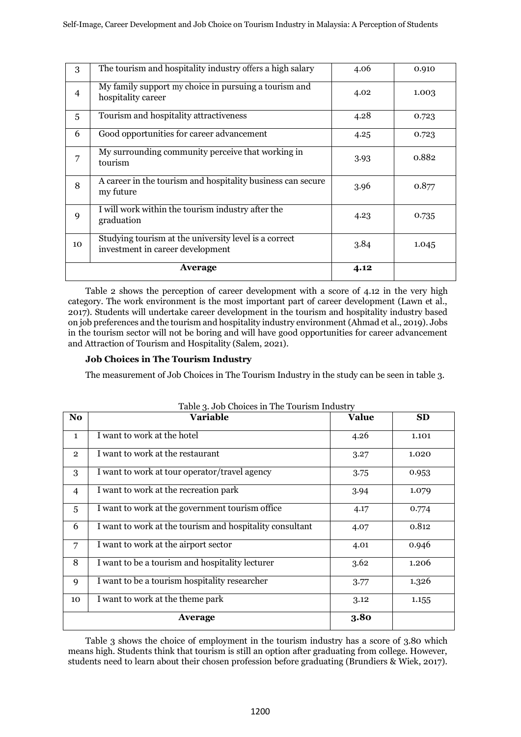| 3              | The tourism and hospitality industry offers a high salary                                 | 4.06 | 0.910 |
|----------------|-------------------------------------------------------------------------------------------|------|-------|
| $\overline{4}$ | My family support my choice in pursuing a tourism and<br>hospitality career               | 4.02 | 1.003 |
| 5              | Tourism and hospitality attractiveness                                                    | 4.28 | 0.723 |
| 6              | Good opportunities for career advancement                                                 | 4.25 | 0.723 |
| 7              | My surrounding community perceive that working in<br>tourism                              | 3.93 | 0.882 |
| 8              | A career in the tourism and hospitality business can secure<br>my future                  | 3.96 | 0.877 |
| 9              | I will work within the tourism industry after the<br>graduation                           | 4.23 | 0.735 |
| 10             | Studying tourism at the university level is a correct<br>investment in career development | 3.84 | 1.045 |
|                | Average                                                                                   | 4.12 |       |

Table 2 shows the perception of career development with a score of 4.12 in the very high category. The work environment is the most important part of career development (Lawn et al., 2017). Students will undertake career development in the tourism and hospitality industry based on job preferences and the tourism and hospitality industry environment (Ahmad et al., 2019). Jobs in the tourism sector will not be boring and will have good opportunities for career advancement and Attraction of Tourism and Hospitality (Salem, 2021).

# **Job Choices in The Tourism Industry**

The measurement of Job Choices in The Tourism Industry in the study can be seen in table 3.

| N <sub>o</sub> | <b>Variable</b>                                          | <b>Value</b> | <b>SD</b> |
|----------------|----------------------------------------------------------|--------------|-----------|
| $\mathbf{1}$   | I want to work at the hotel                              | 4.26         | 1.101     |
| $\overline{2}$ | I want to work at the restaurant                         | 3.27         | 1.020     |
| 3              | I want to work at tour operator/travel agency            | 3.75         | 0.953     |
| $\overline{4}$ | I want to work at the recreation park                    | 3.94         | 1.079     |
| 5              | I want to work at the government tourism office          | 4.17         | 0.774     |
| 6              | I want to work at the tourism and hospitality consultant | 4.07         | 0.812     |
| 7              | I want to work at the airport sector                     | 4.01         | 0.946     |
| 8              | I want to be a tourism and hospitality lecturer          | 3.62         | 1.206     |
| 9              | I want to be a tourism hospitality researcher            | 3.77         | 1.326     |
| 10             | I want to work at the theme park                         | 3.12         | 1.155     |
|                | Average                                                  | 3.80         |           |

Table 3. Job Choices in The Tourism Industry

Table 3 shows the choice of employment in the tourism industry has a score of 3.80 which means high. Students think that tourism is still an option after graduating from college. However, students need to learn about their chosen profession before graduating (Brundiers & Wiek, 2017).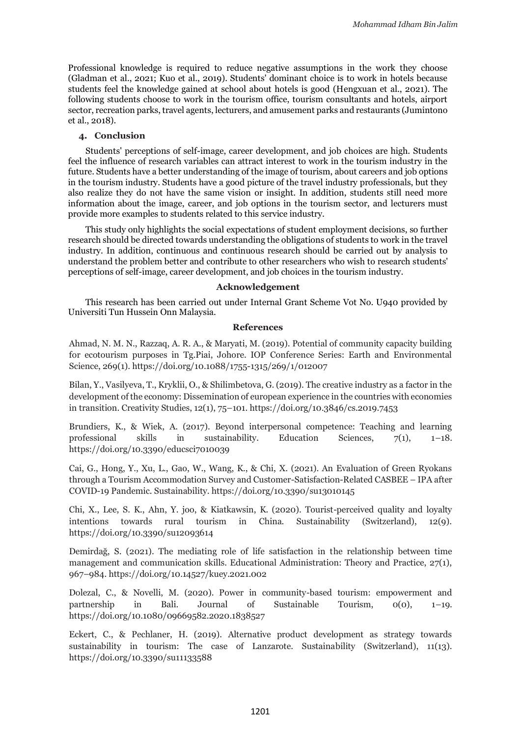Professional knowledge is required to reduce negative assumptions in the work they choose (Gladman et al., 2021; Kuo et al., 2019). Students' dominant choice is to work in hotels because students feel the knowledge gained at school about hotels is good (Hengxuan et al., 2021). The following students choose to work in the tourism office, tourism consultants and hotels, airport sector, recreation parks, travel agents, lecturers, and amusement parks and restaurants (Jumintono et al., 2018).

# **4. Conclusion**

Students' perceptions of self-image, career development, and job choices are high. Students feel the influence of research variables can attract interest to work in the tourism industry in the future. Students have a better understanding of the image of tourism, about careers and job options in the tourism industry. Students have a good picture of the travel industry professionals, but they also realize they do not have the same vision or insight. In addition, students still need more information about the image, career, and job options in the tourism sector, and lecturers must provide more examples to students related to this service industry.

This study only highlights the social expectations of student employment decisions, so further research should be directed towards understanding the obligations of students to work in the travel industry. In addition, continuous and continuous research should be carried out by analysis to understand the problem better and contribute to other researchers who wish to research students' perceptions of self-image, career development, and job choices in the tourism industry.

#### **Acknowledgement**

This research has been carried out under Internal Grant Scheme Vot No. U940 provided by Universiti Tun Hussein Onn Malaysia.

#### **References**

Ahmad, N. M. N., Razzaq, A. R. A., & Maryati, M. (2019). Potential of community capacity building for ecotourism purposes in Tg.Piai, Johore. IOP Conference Series: Earth and Environmental Science, 269(1). https://doi.org/10.1088/1755-1315/269/1/012007

Bilan, Y., Vasilyeva, T., Kryklii, O., & Shilimbetova, G. (2019). The creative industry as a factor in the development of the economy: Dissemination of european experience in the countries with economies in transition. Creativity Studies, 12(1), 75–101. https://doi.org/10.3846/cs.2019.7453

Brundiers, K., & Wiek, A. (2017). Beyond interpersonal competence: Teaching and learning professional skills in sustainability. Education Sciences, 7(1), 1–18. https://doi.org/10.3390/educsci7010039

Cai, G., Hong, Y., Xu, L., Gao, W., Wang, K., & Chi, X. (2021). An Evaluation of Green Ryokans through a Tourism Accommodation Survey and Customer-Satisfaction-Related CASBEE – IPA after COVID-19 Pandemic. Sustainability. https://doi.org/10.3390/su13010145

Chi, X., Lee, S. K., Ahn, Y. joo, & Kiatkawsin, K. (2020). Tourist-perceived quality and loyalty intentions towards rural tourism in China. Sustainability (Switzerland), 12(9). https://doi.org/10.3390/su12093614

Demirdağ, S. (2021). The mediating role of life satisfaction in the relationship between time management and communication skills. Educational Administration: Theory and Practice, 27(1), 967–984. https://doi.org/10.14527/kuey.2021.002

Dolezal, C., & Novelli, M. (2020). Power in community-based tourism: empowerment and partnership in Bali. Journal of Sustainable Tourism, 0(0), 1–19. https://doi.org/10.1080/09669582.2020.1838527

Eckert, C., & Pechlaner, H. (2019). Alternative product development as strategy towards sustainability in tourism: The case of Lanzarote. Sustainability (Switzerland), 11(13). https://doi.org/10.3390/su11133588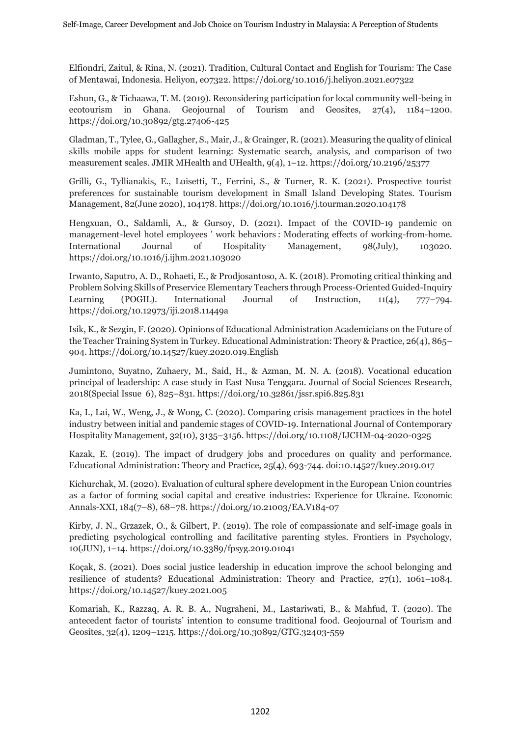Elfiondri, Zaitul, & Rina, N. (2021). Tradition, Cultural Contact and English for Tourism: The Case of Mentawai, Indonesia. Heliyon, e07322. https://doi.org/10.1016/j.heliyon.2021.e07322

Eshun, G., & Tichaawa, T. M. (2019). Reconsidering participation for local community well-being in ecotourism in Ghana. Geojournal of Tourism and Geosites, 27(4), 1184–1200. https://doi.org/10.30892/gtg.27406-425

Gladman, T., Tylee, G., Gallagher, S., Mair, J., & Grainger, R. (2021). Measuring the quality of clinical skills mobile apps for student learning: Systematic search, analysis, and comparison of two measurement scales. JMIR MHealth and UHealth, 9(4), 1–12. https://doi.org/10.2196/25377

Grilli, G., Tyllianakis, E., Luisetti, T., Ferrini, S., & Turner, R. K. (2021). Prospective tourist preferences for sustainable tourism development in Small Island Developing States. Tourism Management, 82(June 2020), 104178. https://doi.org/10.1016/j.tourman.2020.104178

Hengxuan, O., Saldamli, A., & Gursoy, D. (2021). Impact of the COVID-19 pandemic on management-level hotel employees ' work behaviors : Moderating effects of working-from-home. International Journal of Hospitality Management, 98(July), 103020. https://doi.org/10.1016/j.ijhm.2021.103020

Irwanto, Saputro, A. D., Rohaeti, E., & Prodjosantoso, A. K. (2018). Promoting critical thinking and Problem Solving Skills of Preservice Elementary Teachers through Process-Oriented Guided-Inquiry Learning (POGIL). International Journal of Instruction, 11(4), 777–794. https://doi.org/10.12973/iji.2018.11449a

Isik, K., & Sezgin, F. (2020). Opinions of Educational Administration Academicians on the Future of the Teacher Training System in Turkey. Educational Administration: Theory & Practice, 26(4), 865– 904. https://doi.org/10.14527/kuey.2020.019.English

Jumintono, Suyatno, Zuhaery, M., Said, H., & Azman, M. N. A. (2018). Vocational education principal of leadership: A case study in East Nusa Tenggara. Journal of Social Sciences Research, 2018(Special Issue 6), 825–831. https://doi.org/10.32861/jssr.spi6.825.831

Ka, I., Lai, W., Weng, J., & Wong, C. (2020). Comparing crisis management practices in the hotel industry between initial and pandemic stages of COVID-19. International Journal of Contemporary Hospitality Management, 32(10), 3135–3156. https://doi.org/10.1108/IJCHM-04-2020-0325

Kazak, E. (2019). The impact of drudgery jobs and procedures on quality and performance. Educational Administration: Theory and Practice, 25(4), 693-744. doi:10.14527/kuey.2019.017

Kichurchak, M. (2020). Evaluation of cultural sphere development in the European Union countries as a factor of forming social capital and creative industries: Experience for Ukraine. Economic Annals-XXI, 184(7–8), 68–78. https://doi.org/10.21003/EA.V184-07

Kirby, J. N., Grzazek, O., & Gilbert, P. (2019). The role of compassionate and self-image goals in predicting psychological controlling and facilitative parenting styles. Frontiers in Psychology, 10(JUN), 1–14. https://doi.org/10.3389/fpsyg.2019.01041

Koçak, S. (2021). Does social justice leadership in education improve the school belonging and resilience of students? Educational Administration: Theory and Practice, 27(1), 1061–1084. https://doi.org/10.14527/kuey.2021.005

Komariah, K., Razzaq, A. R. B. A., Nugraheni, M., Lastariwati, B., & Mahfud, T. (2020). The antecedent factor of tourists' intention to consume traditional food. Geojournal of Tourism and Geosites, 32(4), 1209–1215. https://doi.org/10.30892/GTG.32403-559